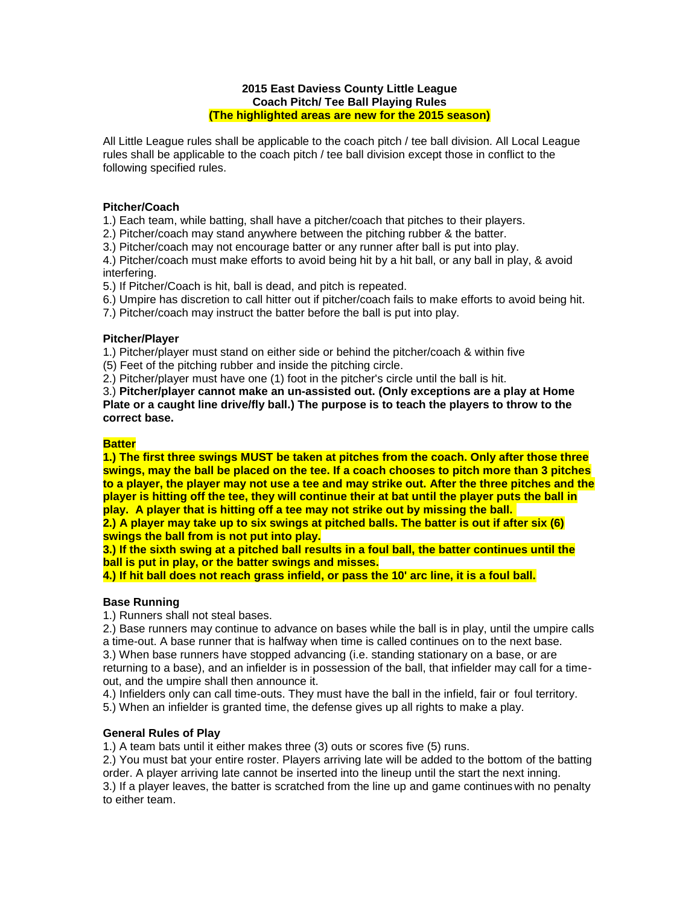#### **2015 East Daviess County Little League Coach Pitch/ Tee Ball Playing Rules (The highlighted areas are new for the 2015 season)**

All Little League rules shall be applicable to the coach pitch / tee ball division. All Local League rules shall be applicable to the coach pitch / tee ball division except those in conflict to the following specified rules.

### **Pitcher/Coach**

1.) Each team, while batting, shall have a pitcher/coach that pitches to their players.

2.) Pitcher/coach may stand anywhere between the pitching rubber & the batter.

3.) Pitcher/coach may not encourage batter or any runner after ball is put into play.

4.) Pitcher/coach must make efforts to avoid being hit by a hit ball, or any ball in play, & avoid interfering.

5.) If Pitcher/Coach is hit, ball is dead, and pitch is repeated.

6.) Umpire has discretion to call hitter out if pitcher/coach fails to make efforts to avoid being hit.

7.) Pitcher/coach may instruct the batter before the ball is put into play.

### **Pitcher/Player**

1.) Pitcher/player must stand on either side or behind the pitcher/coach & within five

(5) Feet of the pitching rubber and inside the pitching circle.

2.) Pitcher/player must have one (1) foot in the pitcher's circle until the ball is hit.

3.) **Pitcher/player cannot make an un-assisted out. (Only exceptions are a play at Home Plate or a caught line drive/fly ball.) The purpose is to teach the players to throw to the correct base.**

### **Batter**

**1.) The first three swings MUST be taken at pitches from the coach. Only after those three swings, may the ball be placed on the tee. If a coach chooses to pitch more than 3 pitches to a player, the player may not use a tee and may strike out. After the three pitches and the player is hitting off the tee, they will continue their at bat until the player puts the ball in play. A player that is hitting off a tee may not strike out by missing the ball.**

**2.) A player may take up to six swings at pitched balls. The batter is out if after six (6) swings the ball from is not put into play.**

**3.) If the sixth swing at a pitched ball results in a foul ball, the batter continues until the ball is put in play, or the batter swings and misses.**

**4.) If hit ball does not reach grass infield, or pass the 10' arc line, it is a foul ball.**

# **Base Running**

1.) Runners shall not steal bases.

2.) Base runners may continue to advance on bases while the ball is in play, until the umpire calls a time-out. A base runner that is halfway when time is called continues on to the next base.

3.) When base runners have stopped advancing (i.e. standing stationary on a base, or are returning to a base), and an infielder is in possession of the ball, that infielder may call for a timeout, and the umpire shall then announce it.

4.) Infielders only can call time-outs. They must have the ball in the infield, fair or foul territory.

5.) When an infielder is granted time, the defense gives up all rights to make a play.

# **General Rules of Play**

1.) A team bats until it either makes three (3) outs or scores five (5) runs.

2.) You must bat your entire roster. Players arriving late will be added to the bottom of the batting order. A player arriving late cannot be inserted into the lineup until the start the next inning. 3.) If a player leaves, the batter is scratched from the line up and game continues with no penalty

to either team.